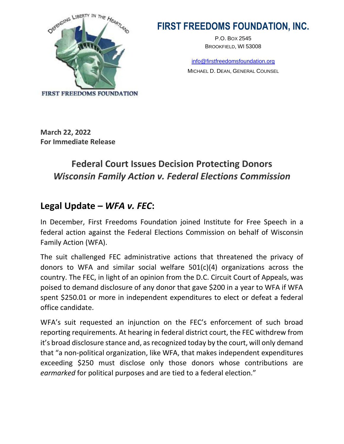

## **FIRST FREEDOMS FOUNDATION, INC.**

P.O. BOX 2545 BROOKFIELD, WI 53008

[info@firstfreedomsfoundation.org](mailto:info@firstfreedomsfoundation.org) MICHAEL D. DEAN, GENERAL COUNSEL

**March 22, 2022 For Immediate Release**

## **Federal Court Issues Decision Protecting Donors** *Wisconsin Family Action v. Federal Elections Commission*

## **Legal Update –** *WFA v. FEC***:**

In December, First Freedoms Foundation joined Institute for Free Speech in a federal action against the Federal Elections Commission on behalf of Wisconsin Family Action (WFA).

The suit challenged FEC administrative actions that threatened the privacy of donors to WFA and similar social welfare 501(c)(4) organizations across the country. The FEC, in light of an opinion from the D.C. Circuit Court of Appeals, was poised to demand disclosure of any donor that gave \$200 in a year to WFA if WFA spent \$250.01 or more in independent expenditures to elect or defeat a federal office candidate.

WFA's suit requested an injunction on the FEC's enforcement of such broad reporting requirements. At hearing in federal district court, the FEC withdrew from it's broad disclosure stance and, as recognized today by the court, will only demand that "a non-political organization, like WFA, that makes independent expenditures exceeding \$250 must disclose only those donors whose contributions are *earmarked* for political purposes and are tied to a federal election."